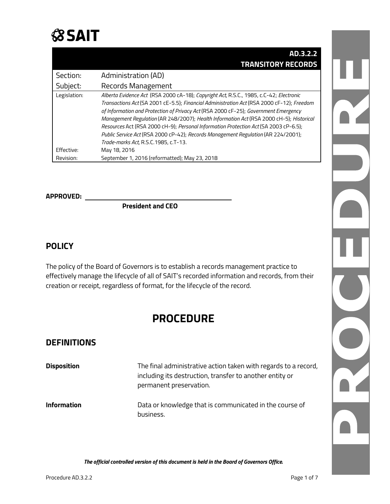

|              | AD.3.2.2                                                                                  |
|--------------|-------------------------------------------------------------------------------------------|
|              | <b>TRANSITORY RECORDS</b>                                                                 |
| Section:     | Administration (AD)                                                                       |
| Subject:     | Records Management                                                                        |
| Legislation: | Alberta Evidence Act (RSA 2000 cA-18); Copyright Act, R.S.C., 1985, c.C-42; Electronic    |
|              | Transactions Act (SA 2001 cE-5.5); Financial Administration Act (RSA 2000 cF-12); Freedom |
|              | of Information and Protection of Privacy Act (RSA 2000 cF-25); Government Emergency       |
|              | Management Regulation (AR 248/2007); Health Information Act (RSA 2000 cH-5); Historical   |
|              | Resources Act (RSA 2000 cH-9); Personal Information Protection Act (SA 2003 cP-6.5);      |
|              | Public Service Act (RSA 2000 cP-42); Records Management Regulation (AR 224/2001);         |
|              | Trade-marks Act, R.S.C.1985, c.T-13.                                                      |
| Effective:   | May 18, 2016                                                                              |
| Revision:    | September 1, 2016 (reformatted); May 23, 2018                                             |

# **APPROVED:**

**President and CEO**

### **POLICY**

The policy of the Board of Governors is to establish a records management practice to effectively manage the lifecycle of all of SAIT's recorded information and records, from their creation or receipt, regardless of format, for the lifecycle of the record.

# **PROCEDURE**

### **DEFINITIONS**

| <b>Disposition</b> | The final administrative action taken with regards to a record,<br>including its destruction, transfer to another entity or<br>permanent preservation. |
|--------------------|--------------------------------------------------------------------------------------------------------------------------------------------------------|
| <b>Information</b> | Data or knowledge that is communicated in the course of<br>business.                                                                                   |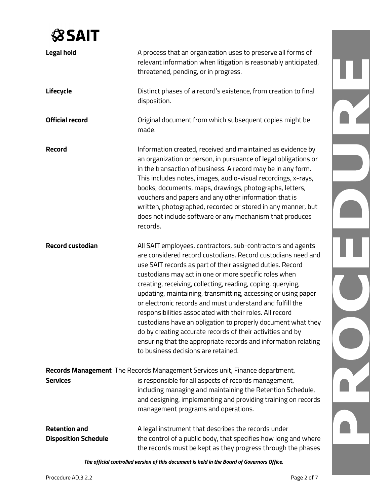| <b>Legal hold</b>                                                            | A process that an organization uses to preserve all forms of<br>relevant information when litigation is reasonably anticipated,<br>threatened, pending, or in progress.                                                                                                                                                                                                                                                                                                                                                                                                                                                                                                                                                                           |  |  |
|------------------------------------------------------------------------------|---------------------------------------------------------------------------------------------------------------------------------------------------------------------------------------------------------------------------------------------------------------------------------------------------------------------------------------------------------------------------------------------------------------------------------------------------------------------------------------------------------------------------------------------------------------------------------------------------------------------------------------------------------------------------------------------------------------------------------------------------|--|--|
| Lifecycle                                                                    | Distinct phases of a record's existence, from creation to final<br>disposition.                                                                                                                                                                                                                                                                                                                                                                                                                                                                                                                                                                                                                                                                   |  |  |
| <b>Official record</b>                                                       | Original document from which subsequent copies might be<br>made.                                                                                                                                                                                                                                                                                                                                                                                                                                                                                                                                                                                                                                                                                  |  |  |
| <b>Record</b>                                                                | Information created, received and maintained as evidence by<br>an organization or person, in pursuance of legal obligations or<br>in the transaction of business. A record may be in any form.<br>This includes notes, images, audio-visual recordings, x-rays,<br>books, documents, maps, drawings, photographs, letters,<br>vouchers and papers and any other information that is<br>written, photographed, recorded or stored in any manner, but<br>does not include software or any mechanism that produces<br>records.                                                                                                                                                                                                                       |  |  |
| <b>Record custodian</b>                                                      | All SAIT employees, contractors, sub-contractors and agents<br>are considered record custodians. Record custodians need and<br>use SAIT records as part of their assigned duties. Record<br>custodians may act in one or more specific roles when<br>creating, receiving, collecting, reading, coping, querying,<br>updating, maintaining, transmitting, accessing or using paper<br>or electronic records and must understand and fulfill the<br>responsibilities associated with their roles. All record<br>custodians have an obligation to properly document what they<br>do by creating accurate records of their activities and by<br>ensuring that the appropriate records and information relating<br>to business decisions are retained. |  |  |
| Records Management The Records Management Services unit, Finance department, |                                                                                                                                                                                                                                                                                                                                                                                                                                                                                                                                                                                                                                                                                                                                                   |  |  |
| <b>Services</b>                                                              | is responsible for all aspects of records management,<br>including managing and maintaining the Retention Schedule,<br>and designing, implementing and providing training on records<br>management programs and operations.                                                                                                                                                                                                                                                                                                                                                                                                                                                                                                                       |  |  |
| <b>Retention and</b><br><b>Disposition Schedule</b>                          | A legal instrument that describes the records under<br>the control of a public body, that specifies how long and where<br>the records must be kept as they progress through the phases                                                                                                                                                                                                                                                                                                                                                                                                                                                                                                                                                            |  |  |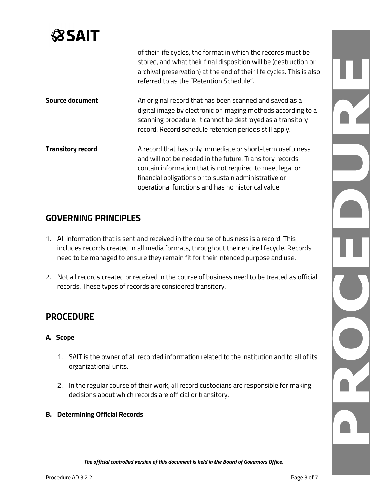|                          | of their life cycles, the format in which the records must be<br>stored, and what their final disposition will be (destruction or<br>archival preservation) at the end of their life cycles. This is also<br>referred to as the "Retention Schedule".                                             |
|--------------------------|---------------------------------------------------------------------------------------------------------------------------------------------------------------------------------------------------------------------------------------------------------------------------------------------------|
| <b>Source document</b>   | An original record that has been scanned and saved as a<br>digital image by electronic or imaging methods according to a<br>scanning procedure. It cannot be destroyed as a transitory<br>record. Record schedule retention periods still apply.                                                  |
| <b>Transitory record</b> | A record that has only immediate or short-term usefulness<br>and will not be needed in the future. Transitory records<br>contain information that is not required to meet legal or<br>financial obligations or to sustain administrative or<br>operational functions and has no historical value. |

## **GOVERNING PRINCIPLES**

- 1. All information that is sent and received in the course of business is a record. This includes records created in all media formats, throughout their entire lifecycle. Records need to be managed to ensure they remain fit for their intended purpose and use.
- 2. Not all records created or received in the course of business need to be treated as official records. These types of records are considered transitory.

### **PROCEDURE**

#### **A. Scope**

- 1. SAIT is the owner of all recorded information related to the institution and to all of its organizational units.
- 2. In the regular course of their work, all record custodians are responsible for making decisions about which records are official or transitory.
- **B. Determining Official Records**

N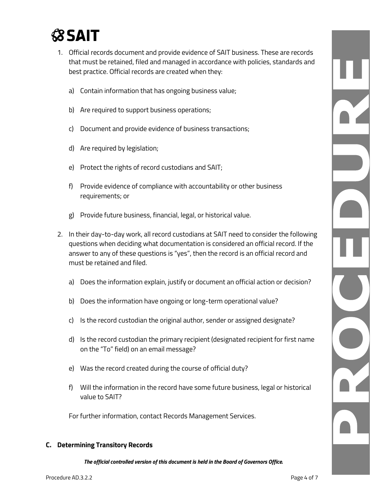- 1. Official records document and provide evidence of SAIT business. These are records that must be retained, filed and managed in accordance with policies, standards and best practice. Official records are created when they:
	- a) Contain information that has ongoing business value;
	- b) Are required to support business operations;
	- c) Document and provide evidence of business transactions;
	- d) Are required by legislation;
	- e) Protect the rights of record custodians and SAIT;
	- f) Provide evidence of compliance with accountability or other business requirements; or
	- g) Provide future business, financial, legal, or historical value.
- 2. In their day-to-day work, all record custodians at SAIT need to consider the following questions when deciding what documentation is considered an official record. If the answer to any of these questions is "yes", then the record is an official record and must be retained and filed.
	- a) Does the information explain, justify or document an official action or decision?
	- b) Does the information have ongoing or long-term operational value?
	- c) Is the record custodian the original author, sender or assigned designate?
	- d) Is the record custodian the primary recipient (designated recipient for first name on the "To" field) on an email message?
	- e) Was the record created during the course of official duty?
	- f) Will the information in the record have some future business, legal or historical value to SAIT?

For further information, contact Records Management Services.

#### **C. Determining Transitory Records**

*The official controlled version of this document is held in the Board of Governors Office.*

N.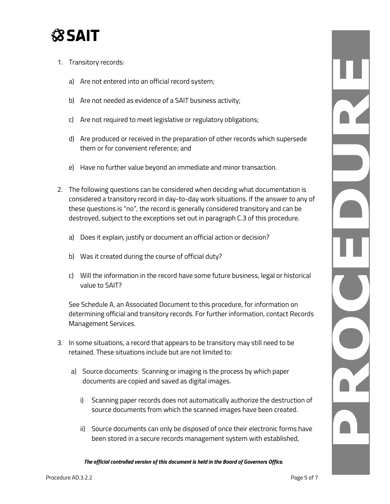- 1. Transitory records:
	- a) Are not entered into an official record system;
	- b) Are not needed as evidence of a SAIT business activity;
	- c) Are not required to meet legislative or regulatory obligations;
	- d) Are produced or received in the preparation of other records which supersede them or for convenient reference; and
	- e) Have no further value beyond an immediate and minor transaction.
- 2. The following questions can be considered when deciding what documentation is considered a transitory record in day-to-day work situations. If the answer to any of these questions is "no", the record is generally considered transitory and can be destroyed, subject to the exceptions set out in paragraph C.3 of this procedure.
	- a) Does it explain, justify or document an official action or decision?
	- b) Was it created during the course of official duty?
	- c) Will the information in the record have some future business, legal or historical value to SAIT?

See Schedule A, an Associated Document to this procedure, for information on determining official and transitory records. For further information, contact Records Management Services.

- 3. In some situations, a record that appears to be transitory may still need to be retained. These situations include but are not limited to:
	- a) Source documents: Scanning or imaging is the process by which paper documents are copied and saved as digital images.
		- i) Scanning paper records does not automatically authorize the destruction of source documents from which the scanned images have been created.
		- ii) Source documents can only be disposed of once their electronic forms have been stored in a secure records management system with established,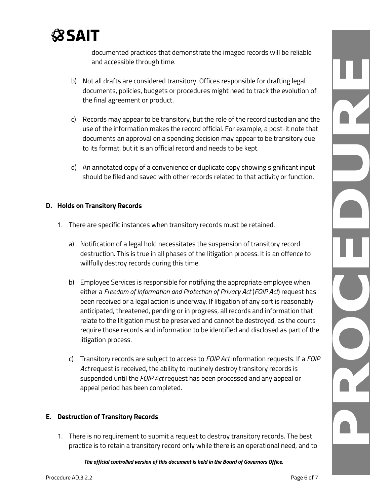

documented practices that demonstrate the imaged records will be reliable and accessible through time.

- b) Not all drafts are considered transitory. Offices responsible for drafting legal documents, policies, budgets or procedures might need to track the evolution of the final agreement or product.
- c) Records may appear to be transitory, but the role of the record custodian and the use of the information makes the record official. For example, a post-it note that documents an approval on a spending decision may appear to be transitory due to its format, but it is an official record and needs to be kept.
- d) An annotated copy of a convenience or duplicate copy showing significant input should be filed and saved with other records related to that activity or function.

#### **D. Holds on Transitory Records**

- 1. There are specific instances when transitory records must be retained.
	- a) Notification of a legal hold necessitates the suspension of transitory record destruction. This is true in all phases of the litigation process. It is an offence to willfully destroy records during this time.
	- b) Employee Services is responsible for notifying the appropriate employee when either a *Freedom of Information and Protection of Privacy Act* (*FOIP Act*) request has been received or a legal action is underway. If litigation of any sort is reasonably anticipated, threatened, pending or in progress, all records and information that relate to the litigation must be preserved and cannot be destroyed, as the courts require those records and information to be identified and disclosed as part of the litigation process.
	- c) Transitory records are subject to access to *FOIP Act* information requests. If a *FOIP Act* request is received, the ability to routinely destroy transitory records is suspended until the *FOIP Act* request has been processed and any appeal or appeal period has been completed.

#### **E. Destruction of Transitory Records**

1. There is no requirement to submit a request to destroy transitory records. The best practice is to retain a transitory record only while there is an operational need, and to